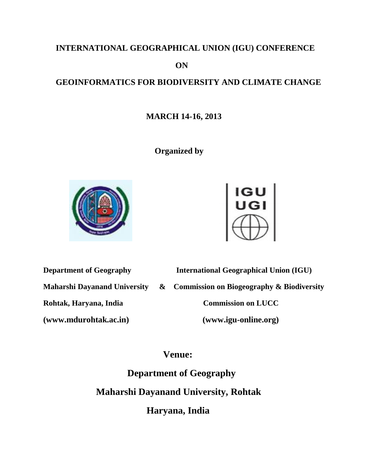# **INTERNATIONAL GEOGRAPHICAL UNION (IGU) CONFERENCE**

 **ON**

# **GEOINFORMATICS FOR BIODIVERSITY AND CLIMATE CHANGE**

## **MARCH 14-16, 2013**

 **Organized by** 





**Department of Geography International Geographical Union (IGU) Maharshi Dayanand University & Commission on Biogeography & Biodiversity Rohtak, Haryana, India Commission on LUCC (www.mdurohtak.ac.in) (www.igu-online.org)**

# **Venue:**

 **Department of Geography Maharshi Dayanand University, Rohtak Haryana, India**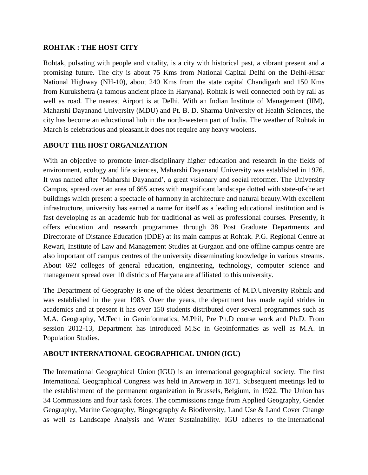#### **ROHTAK : THE HOST CITY**

Rohtak, pulsating with people and vitality, is a city with historical past, a vibrant present and a promising future. The city is about 75 Kms from National Capital Delhi on the Delhi-Hisar National Highway (NH-10), about 240 Kms from the state capital Chandigarh and 150 Kms from Kurukshetra (a famous ancient place in Haryana). Rohtak is well connected both by rail as well as road. The nearest Airport is at Delhi. With an Indian Institute of Management (IIM), Maharshi Dayanand University (MDU) and Pt. B. D. Sharma University of Health Sciences, the city has become an educational hub in the north-western part of India. The weather of Rohtak in March is celebratious and pleasant.It does not require any heavy woolens.

### **ABOUT THE HOST ORGANIZATION**

With an objective to promote inter-disciplinary higher education and research in the fields of environment, ecology and life sciences, Maharshi Dayanand University was established in 1976. It was named after "Maharshi Dayanand", a great visionary and social reformer. The University Campus, spread over an area of 665 acres with magnificant landscape dotted with state-of-the art buildings which present a spectacle of harmony in architecture and natural beauty.With excellent infrastructure, university has earned a name for itself as a leading educational institution and is fast developing as an academic hub for traditional as well as professional courses. Presently, it offers education and research programmes through 38 Post Graduate Departments and Directorate of Distance Education (DDE) at its main campus at Rohtak. P.G. Regional Centre at Rewari, Institute of Law and Management Studies at Gurgaon and one offline campus centre are also important off campus centres of the university disseminating knowledge in various streams. About 692 colleges of general education, engineering, technology, computer science and management spread over 10 districts of Haryana are affiliated to this university.

The Department of Geography is one of the oldest departments of M.D.University Rohtak and was established in the year 1983. Over the years, the department has made rapid strides in academics and at present it has over 150 students distributed over several programmes such as M.A. Geography, M.Tech in Geoinformatics, M.Phil, Pre Ph.D course work and Ph.D. From session 2012-13, Department has introduced M.Sc in Geoinformatics as well as M.A. in Population Studies.

### **ABOUT INTERNATIONAL GEOGRAPHICAL UNION (IGU)**

The International Geographical Union (IGU) is an international [geographical](http://en.wikipedia.org/wiki/Geography) society. The first International Geographical Congress was held in [Antwerp](http://en.wikipedia.org/wiki/Antwerp) in 1871. Subsequent meetings led to the establishment of the permanent organization in [Brussels,](http://en.wikipedia.org/wiki/Brussels) [Belgium,](http://en.wikipedia.org/wiki/Belgium) in 1922. The Union has 34 Commissions and four task forces. The commissions range from Applied Geography, Gender Geography, Marine Geography, Biogeography & Biodiversity, Land Use & Land Cover Change as well as Landscape Analysis and Water Sustainability. IGU adheres to the [International](http://en.wikipedia.org/wiki/International_Council_for_Science)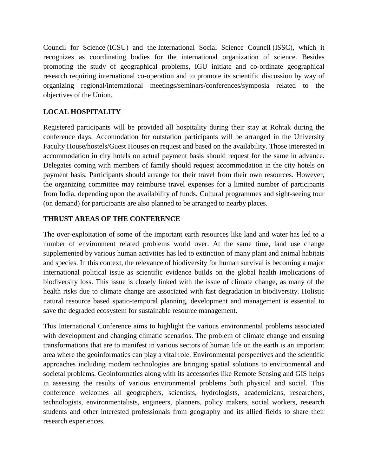Council for Science (ICSU) and the International Social Science Council (ISSC), which it recognizes as coordinating bodies for the international organization of science. Besides promoting the study of geographical problems, IGU initiate and co-ordinate geographical research requiring international co-operation and to promote its scientific discussion by way of organizing regional/international meetings/seminars/conferences/symposia related to the objectives of the Union.

## **LOCAL HOSPITALITY**

Registered participants will be provided all hospitality during their stay at Rohtak during the conference days. Accomodation for outstation participants will be arranged in the University Faculty House/hostels/Guest Houses on request and based on the availability. Those interested in accommodation in city hotels on actual payment basis should request for the same in advance. Delegates coming with members of family should request accommodation in the city hotels on payment basis. Participants should arrange for their travel from their own resources. However, the organizing committee may reimburse travel expenses for a limited number of participants from India, depending upon the availability of funds. Cultural programmes and sight-seeing tour (on demand) for participants are also planned to be arranged to nearby places.

### **THRUST AREAS OF THE CONFERENCE**

The over-exploitation of some of the important earth resources like land and water has led to a number of environment related problems world over. At the same time, land use change supplemented by various human activities has led to extinction of many plant and animal habitats and species. In this context, the relevance of biodiversity for human survival is becoming a major international political issue as scientific evidence builds on the global health implications of biodiversity loss. This issue is closely linked with the issue of climate change, as many of the health risks due to climate change are associated with fast degradation in biodiversity. Holistic natural resource based spatio-temporal planning, development and management is essential to save the degraded ecosystem for sustainable resource management.

This International Conference aims to highlight the various environmental problems associated with development and changing climatic scenarios. The problem of climate change and ensuing transformations that are to manifest in various sectors of human life on the earth is an important area where the geoinformatics can play a vital role. Environmental perspectives and the scientific approaches including modern technologies are bringing spatial solutions to environmental and societal problems. Geoinformatics along with its accessories like Remote Sensing and GIS helps in assessing the results of various environmental problems both physical and social. This conference welcomes all geographers, scientists, hydrologists, academicians, researchers, technologists, environmentalists, engineers, planners, policy makers, social workers, research students and other interested professionals from geography and its allied fields to share their research experiences.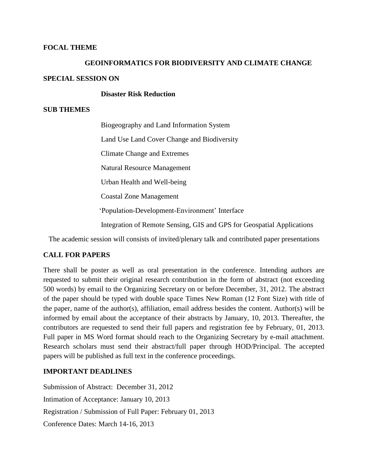#### **FOCAL THEME**

# **GEOINFORMATICS FOR BIODIVERSITY AND CLIMATE CHANGE SPECIAL SESSION ON**

#### **Disaster Risk Reduction**

#### **SUB THEMES**

 Biogeography and Land Information System Land Use Land Cover Change and Biodiversity Climate Change and Extremes Natural Resource Management Urban Health and Well-being Coastal Zone Management 'Population-Development-Environment' Interface Integration of Remote Sensing, GIS and GPS for Geospatial Applications

The academic session will consists of invited/plenary talk and contributed paper presentations

#### **CALL FOR PAPERS**

There shall be poster as well as oral presentation in the conference. Intending authors are requested to submit their original research contribution in the form of abstract (not exceeding 500 words) by email to the Organizing Secretary on or before December, 31, 2012. The abstract of the paper should be typed with double space Times New Roman (12 Font Size) with title of the paper, name of the author(s), affiliation, email address besides the content. Author(s) will be informed by email about the acceptance of their abstracts by January, 10, 2013. Thereafter, the contributors are requested to send their full papers and registration fee by February, 01, 2013. Full paper in MS Word format should reach to the Organizing Secretary by e-mail attachment. Research scholars must send their abstract/full paper through HOD/Principal. The accepted papers will be published as full text in the conference proceedings.

#### **IMPORTANT DEADLINES**

Submission of Abstract: December 31, 2012 Intimation of Acceptance: January 10, 2013 Registration / Submission of Full Paper: February 01, 2013 Conference Dates: March 14-16, 2013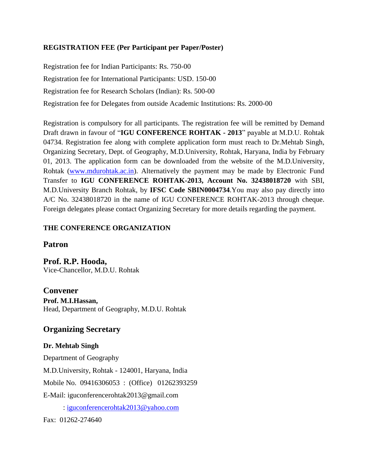## **REGISTRATION FEE (Per Participant per Paper/Poster)**

Registration fee for Indian Participants: Rs. 750-00 Registration fee for International Participants: USD. 150-00 Registration fee for Research Scholars (Indian): Rs. 500-00 Registration fee for Delegates from outside Academic Institutions: Rs. 2000-00

Registration is compulsory for all participants. The registration fee will be remitted by Demand Draft drawn in favour of "**IGU CONFERENCE ROHTAK - 2013**" payable at M.D.U. Rohtak 04734. Registration fee along with complete application form must reach to Dr.Mehtab Singh, Organizing Secretary, Dept. of Geography, M.D.University, Rohtak, Haryana, India by February 01, 2013. The application form can be downloaded from the website of the M.D.University, Rohtak [\(www.mdurohtak.ac.in\)](http://www.mdurohtak.ac.in/). Alternatively the payment may be made by Electronic Fund Transfer to **IGU CONFERENCE ROHTAK-2013, Account No. 32438018720** with SBI, M.D.University Branch Rohtak, by **IFSC Code SBIN0004734**.You may also pay directly into A/C No. 32438018720 in the name of IGU CONFERENCE ROHTAK-2013 through cheque. Foreign delegates please contact Organizing Secretary for more details regarding the payment.

## **THE CONFERENCE ORGANIZATION**

## **Patron**

**Prof. R.P. Hooda,**  Vice-Chancellor, M.D.U. Rohtak

**Convener Prof. M.I.Hassan,**  Head, Department of Geography, M.D.U. Rohtak

## **Organizing Secretary**

### **Dr. Mehtab Singh**

Department of Geography M.D.University, Rohtak - 124001, Haryana, India Mobile No. 09416306053 : (Office) 01262393259 E-Mail: iguconferencerohtak2013@gmail.com : [iguconferencerohtak2013@yahoo.com](mailto:iguconferencerohtak2013@yahoo.com)

Fax: 01262-274640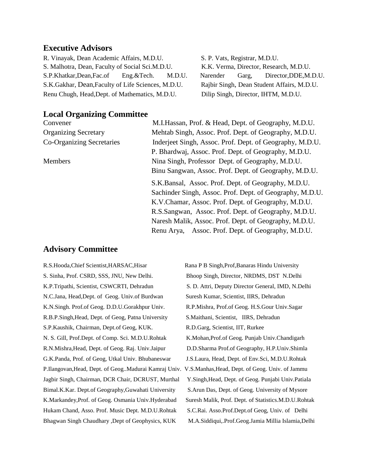#### **Executive Advisors**

R. Vinayak, Dean Academic Affairs, M.D.U. S. P. Vats, Registrar, M.D.U. S. Malhotra, Dean, Faculty of Social Sci.M.D.U. K.K. Verma, Director, Research, M.D.U. S.P.Khatkar,Dean,Fac.of Eng.&Tech. M.D.U. Narender Garg, Director,DDE,M.D.U. S.K.Gakhar, Dean,Faculty of Life Sciences, M.D.U. Rajbir Singh, Dean Student Affairs, M.D.U. Renu Chugh, Head, Dept. of Mathematics, M.D.U. Dilip Singh, Director, IHTM, M.D.U.

### **Local Organizing Committee**

Convener M.I.Hassan, Prof. & Head, Dept. of Geography, M.D.U. Organizing Secretary Mehtab Singh, Assoc. Prof. Dept. of Geography, M.D.U. Co-Organizing Secretaries Inderjeet Singh, Assoc. Prof. Dept. of Geography, M.D.U. P. Bhardwaj, Assoc. Prof. Dept. of Geography, M.D.U. Members Nina Singh, Professor Dept. of Geography, M.D.U. Binu Sangwan, Assoc. Prof. Dept. of Geography, M.D.U. S.K.Bansal, Assoc. Prof. Dept. of Geography, M.D.U. Sachinder Singh, Assoc. Prof. Dept. of Geography, M.D.U. K.V.Chamar, Assoc. Prof. Dept. of Geography, M.D.U. R.S.Sangwan, Assoc. Prof. Dept. of Geography, M.D.U. Naresh Malik, Assoc. Prof. Dept. of Geography, M.D.U. Renu Arya, Assoc. Prof. Dept. of Geography, M.D.U.

#### **Advisory Committee**

S. Sinha, Prof. CSRD, SSS, JNU, New Delhi. Bhoop Singh, Director, NRDMS, DST N.Delhi K.P.Tripathi, Scientist, CSWCRTI, Dehradun S. D. Attri, Deputy Director General, IMD, N.Delhi N.C.Jana, Head,Dept. of Geog. Univ.of Burdwan Suresh Kumar, Scientist, IIRS, Dehradun K.N.Singh. Prof.of Geog. D.D.U.Gorakhpur Univ. R.P.Mishra, Prof.of Geog. H.S.Gour Univ.Sagar R.B.P.Singh,Head, Dept. of Geog, Patna University S.Maithani, Scientist, IIRS, Dehradun S.P.Kaushik, Chairman, Dept.of Geog, KUK. R.D.Garg, Scientist, IIT, Rurkee N. S. Gill, Prof.Dept. of Comp. Sci. M.D.U.Rohtak K.Mohan,Prof.of Geog. Punjab Univ.Chandigarh R.N.Mishra,Head, Dept. of Geog. Raj. Univ.Jaipur D.D.Sharma Prof.of Geography, H.P.Univ.Shimla G.K.Panda, Prof. of Geog, Utkal Univ. Bhubaneswar J.S.Laura, Head, Dept. of Env.Sci, M.D.U.Rohtak P.Ilangovan,Head, Dept. of Geog..Madurai Kamraj Univ. V.S.Manhas,Head, Dept. of Geog. Univ. of Jammu Jagbir Singh, Chairman, DCR Chair, DCRUST, Murthal Y.Singh,Head, Dept. of Geog. Punjabi Univ.Patiala Bimal.K.Kar. Dept.of Geography,Guwahati University S.Arun Das, Dept. of Geog. University of Mysore K.Markandey,Prof. of Geog. Osmania Univ.Hyderabad Suresh Malik, Prof. Dept. of Statistics.M.D.U.Rohtak Hukam Chand, Asso. Prof. Music Dept. M.D.U.Rohtak S.C.Rai. Asso.Prof.Dept.of Geog, Univ. of Delhi Bhagwan Singh Chaudhary ,Dept of Geophysics, KUK M.A.Siddiqui,.Prof.Geog.Jamia Millia Islamia,Delhi

R.S.Hooda,Chief Scientist,HARSAC,Hisar Rana P B Singh,Prof,Banaras Hindu University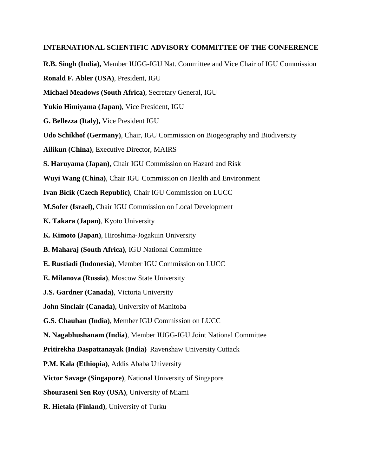#### **INTERNATIONAL SCIENTIFIC ADVISORY COMMITTEE OF THE CONFERENCE**

- **R.B. Singh (India),** Member IUGG-IGU Nat. Committee and Vice Chair of IGU Commission **Ronald F. Abler (USA)**, President, IGU **Michael Meadows (South Africa)**, Secretary General, IGU **Yukio Himiyama (Japan)**, Vice President, IGU **G. Bellezza (Italy),** Vice President IGU **Udo Schikhof (Germany)**, Chair, IGU Commission on Biogeography and Biodiversity **Ailikun (China)**, Executive Director, MAIRS **S. Haruyama (Japan)**, Chair IGU Commission on Hazard and Risk **Wuyi Wang (China)**, Chair IGU Commission on Health and Environment **Ivan Bicik (Czech Republic)**, Chair IGU Commission on LUCC **M.Sofer (Israel),** Chair IGU Commission on Local Development **K. Takara (Japan)**, Kyoto University **K. Kimoto (Japan)**, Hiroshima-Jogakuin University **B. Maharaj (South Africa)**, IGU National Committee **E. Rustiadi (Indonesia)**, Member IGU Commission on LUCC **E. Milanova (Russia)**, Moscow State University **J.S. Gardner (Canada)**, Victoria University **John Sinclair (Canada)**, University of Manitoba **G.S. Chauhan (India)**, Member IGU Commission on LUCC **N. Nagabhushanam (India)**, Member IUGG-IGU Joint National Committee **Pritirekha Daspattanayak (India)** Ravenshaw University Cuttack **P.M. Kala (Ethiopia)**, Addis Ababa University **Victor Savage (Singapore)**, National University of Singapore
	- **Shouraseni Sen Roy (USA)**, University of Miami
	- **R. Hietala (Finland)**, University of Turku